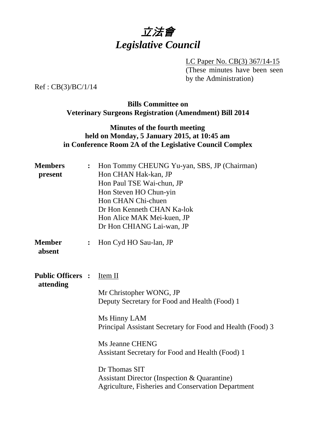

LC Paper No. CB(3) 367/14-15 (These minutes have been seen by the Administration)

Ref : CB(3)/BC/1/14

# **Bills Committee on Veterinary Surgeons Registration (Amendment) Bill 2014**

## **Minutes of the fourth meeting held on Monday, 5 January 2015, at 10:45 am in Conference Room 2A of the Legislative Council Complex**

| <b>Members</b><br>present             | $\ddot{\cdot}$ | Hon Tommy CHEUNG Yu-yan, SBS, JP (Chairman)<br>Hon CHAN Hak-kan, JP<br>Hon Paul TSE Wai-chun, JP<br>Hon Steven HO Chun-yin<br>Hon CHAN Chi-chuen<br>Dr Hon Kenneth CHAN Ka-lok<br>Hon Alice MAK Mei-kuen, JP<br>Dr Hon CHIANG Lai-wan, JP                                                                                                                                         |
|---------------------------------------|----------------|-----------------------------------------------------------------------------------------------------------------------------------------------------------------------------------------------------------------------------------------------------------------------------------------------------------------------------------------------------------------------------------|
| <b>Member</b><br>absent               | $\ddot{\cdot}$ | Hon Cyd HO Sau-lan, JP                                                                                                                                                                                                                                                                                                                                                            |
| <b>Public Officers :</b><br>attending |                | Item II<br>Mr Christopher WONG, JP<br>Deputy Secretary for Food and Health (Food) 1<br>Ms Hinny LAM<br>Principal Assistant Secretary for Food and Health (Food) 3<br>Ms Jeanne CHENG<br>Assistant Secretary for Food and Health (Food) 1<br>Dr Thomas SIT<br><b>Assistant Director (Inspection &amp; Quarantine)</b><br><b>Agriculture, Fisheries and Conservation Department</b> |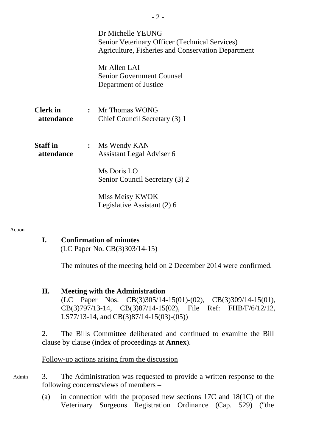|                               |                | Dr Michelle YEUNG<br>Senior Veterinary Officer (Technical Services)<br><b>Agriculture, Fisheries and Conservation Department</b> |
|-------------------------------|----------------|----------------------------------------------------------------------------------------------------------------------------------|
|                               |                | Mr Allen LAI<br><b>Senior Government Counsel</b><br>Department of Justice                                                        |
| <b>Clerk</b> in<br>attendance |                | : Mr Thomas WONG<br>Chief Council Secretary (3) 1                                                                                |
| <b>Staff</b> in<br>attendance | $\ddot{\cdot}$ | Ms Wendy KAN<br>Assistant Legal Adviser 6<br>Ms Doris LO<br>Senior Council Secretary (3) 2                                       |
|                               |                | Miss Meisy KWOK<br>Legislative Assistant (2) 6                                                                                   |

#### Action

**I. Confirmation of minutes** 

(LC Paper No. CB(3)303/14-15)

The minutes of the meeting held on 2 December 2014 were confirmed.

### **II. Meeting with the Administration**

(LC Paper Nos. CB(3)305/14-15(01)-(02), CB(3)309/14-15(01), CB(3)797/13-14, CB(3)87/14-15(02), File Ref: FHB/F/6/12/12, LS77/13-14, and CB(3)87/14-15(03)-(05))

2. The Bills Committee deliberated and continued to examine the Bill clause by clause (index of proceedings at **Annex**).

### Follow-up actions arising from the discussion

- 3. The Administration was requested to provide a written response to the following concerns/views of members – Admin
	- (a) in connection with the proposed new sections 17C and 18(1C) of the Veterinary Surgeons Registration Ordinance (Cap. 529) ("the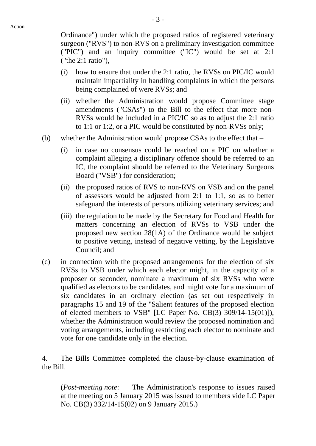Ordinance") under which the proposed ratios of registered veterinary surgeon ("RVS") to non-RVS on a preliminary investigation committee ("PIC") and an inquiry committee ("IC") would be set at 2:1 ("the 2:1 ratio"),

- (i) how to ensure that under the 2:1 ratio, the RVSs on PIC/IC would maintain impartiality in handling complaints in which the persons being complained of were RVSs; and
- (ii) whether the Administration would propose Committee stage amendments ("CSAs") to the Bill to the effect that more non-RVSs would be included in a PIC/IC so as to adjust the 2:1 ratio to 1:1 or 1:2, or a PIC would be constituted by non-RVSs only;
- (b) whether the Administration would propose CSAs to the effect that
	- (i) in case no consensus could be reached on a PIC on whether a complaint alleging a disciplinary offence should be referred to an IC, the complaint should be referred to the Veterinary Surgeons Board ("VSB") for consideration;
	- (ii) the proposed ratios of RVS to non-RVS on VSB and on the panel of assessors would be adjusted from 2:1 to 1:1, so as to better safeguard the interests of persons utilizing veterinary services; and
	- (iii) the regulation to be made by the Secretary for Food and Health for matters concerning an election of RVSs to VSB under the proposed new section 28(1A) of the Ordinance would be subject to positive vetting, instead of negative vetting, by the Legislative Council; and
- (c) in connection with the proposed arrangements for the election of six RVSs to VSB under which each elector might, in the capacity of a proposer or seconder, nominate a maximum of six RVSs who were qualified as electors to be candidates, and might vote for a maximum of six candidates in an ordinary election (as set out respectively in paragraphs 15 and 19 of the "Salient features of the proposed election of elected members to VSB" [LC Paper No. CB(3) 309/14-15(01)]), whether the Administration would review the proposed nomination and voting arrangements, including restricting each elector to nominate and vote for one candidate only in the election.

4. The Bills Committee completed the clause-by-clause examination of the Bill.

(*Post-meeting note*: The Administration's response to issues raised at the meeting on 5 January 2015 was issued to members vide LC Paper No. CB(3) 332/14-15(02) on 9 January 2015.)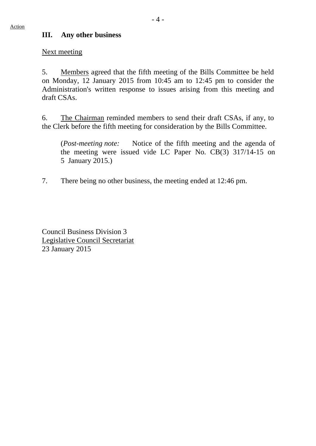### **III. Any other business**

Next meeting

5. Members agreed that the fifth meeting of the Bills Committee be held on Monday, 12 January 2015 from 10:45 am to 12:45 pm to consider the Administration's written response to issues arising from this meeting and draft CSAs.

6. The Chairman reminded members to send their draft CSAs, if any, to the Clerk before the fifth meeting for consideration by the Bills Committee.

(*Post-meeting note:* Notice of the fifth meeting and the agenda of the meeting were issued vide LC Paper No. CB(3) 317/14-15 on 5 January 2015.)

7. There being no other business, the meeting ended at 12:46 pm.

Council Business Division 3 Legislative Council Secretariat 23 January 2015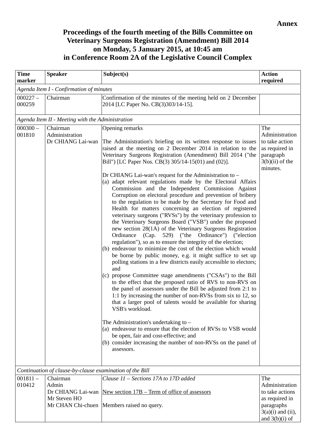# **Proceedings of the fourth meeting of the Bills Committee on Veterinary Surgeons Registration (Amendment) Bill 2014 on Monday, 5 January 2015, at 10:45 am in Conference Room 2A of the Legislative Council Complex**

| <b>Time</b>                                      | <b>Speaker</b>                                           | Subject(s)                                                                                                                                                                                                                                                                                                                                                                                                                                                                                                                                                                                                                                                                                                                                                                                                                                                                                                                                                                                                                                                                                                                                                                                                                                                                                                                                                                                                                                                                                                                                                                                                                                                                                                                                                          | <b>Action</b>                                                                                           |
|--------------------------------------------------|----------------------------------------------------------|---------------------------------------------------------------------------------------------------------------------------------------------------------------------------------------------------------------------------------------------------------------------------------------------------------------------------------------------------------------------------------------------------------------------------------------------------------------------------------------------------------------------------------------------------------------------------------------------------------------------------------------------------------------------------------------------------------------------------------------------------------------------------------------------------------------------------------------------------------------------------------------------------------------------------------------------------------------------------------------------------------------------------------------------------------------------------------------------------------------------------------------------------------------------------------------------------------------------------------------------------------------------------------------------------------------------------------------------------------------------------------------------------------------------------------------------------------------------------------------------------------------------------------------------------------------------------------------------------------------------------------------------------------------------------------------------------------------------------------------------------------------------|---------------------------------------------------------------------------------------------------------|
| marker                                           |                                                          |                                                                                                                                                                                                                                                                                                                                                                                                                                                                                                                                                                                                                                                                                                                                                                                                                                                                                                                                                                                                                                                                                                                                                                                                                                                                                                                                                                                                                                                                                                                                                                                                                                                                                                                                                                     | required                                                                                                |
|                                                  | Agenda Item I - Confirmation of minutes                  |                                                                                                                                                                                                                                                                                                                                                                                                                                                                                                                                                                                                                                                                                                                                                                                                                                                                                                                                                                                                                                                                                                                                                                                                                                                                                                                                                                                                                                                                                                                                                                                                                                                                                                                                                                     |                                                                                                         |
| $000227 -$<br>000259                             | Chairman                                                 | Confirmation of the minutes of the meeting held on 2 December<br>2014 [LC Paper No. CB(3)303/14-15].                                                                                                                                                                                                                                                                                                                                                                                                                                                                                                                                                                                                                                                                                                                                                                                                                                                                                                                                                                                                                                                                                                                                                                                                                                                                                                                                                                                                                                                                                                                                                                                                                                                                |                                                                                                         |
| Agenda Item II - Meeting with the Administration |                                                          |                                                                                                                                                                                                                                                                                                                                                                                                                                                                                                                                                                                                                                                                                                                                                                                                                                                                                                                                                                                                                                                                                                                                                                                                                                                                                                                                                                                                                                                                                                                                                                                                                                                                                                                                                                     |                                                                                                         |
| $000300 -$<br>001810                             | Chairman<br>Administration<br>Dr CHIANG Lai-wan          | Opening remarks<br>The Administration's briefing on its written response to issues<br>raised at the meeting on 2 December 2014 in relation to the<br>Veterinary Surgeons Registration (Amendment) Bill 2014 ("the<br>Bill") [LC Paper Nos. CB(3) 305/14-15(01) and (02)].<br>Dr CHIANG Lai-wan's request for the Administration to –<br>(a) adapt relevant regulations made by the Electoral Affairs<br>Commission and the Independent Commission Against<br>Corruption on electoral procedure and prevention of bribery<br>to the regulation to be made by the Secretary for Food and<br>Health for matters concerning an election of registered<br>veterinary surgeons ("RVSs") by the veterinary profession to<br>the Veterinary Surgeons Board ("VSB") under the proposed<br>new section 28(1A) of the Veterinary Surgeons Registration<br>(Cap. 529) ("the Ordinance") ("election<br>Ordinance<br>regulation"), so as to ensure the integrity of the election;<br>(b) endeavour to minimize the cost of the election which would<br>be borne by public money, e.g. it might suffice to set up<br>polling stations in a few districts easily accessible to electors;<br>and<br>(c) propose Committee stage amendments ("CSAs") to the Bill<br>to the effect that the proposed ratio of RVS to non-RVS on<br>the panel of assessors under the Bill be adjusted from 2:1 to<br>1:1 by increasing the number of non-RVSs from six to 12, so<br>that a larger pool of talents would be available for sharing<br>VSB's workload.<br>The Administration's undertaking to -<br>(a) endeavour to ensure that the election of RVSs to VSB would<br>be open, fair and cost-effective; and<br>(b) consider increasing the number of non-RVSs on the panel of<br>assessors. | The<br>Administration<br>to take action<br>as required in<br>paragraph<br>$3(b)(ii)$ of the<br>minutes. |
|                                                  | Continuation of clause-by-clause examination of the Bill |                                                                                                                                                                                                                                                                                                                                                                                                                                                                                                                                                                                                                                                                                                                                                                                                                                                                                                                                                                                                                                                                                                                                                                                                                                                                                                                                                                                                                                                                                                                                                                                                                                                                                                                                                                     |                                                                                                         |
| $001811 -$                                       | Chairman                                                 | Clause 11 - Sections 17A to 17D added                                                                                                                                                                                                                                                                                                                                                                                                                                                                                                                                                                                                                                                                                                                                                                                                                                                                                                                                                                                                                                                                                                                                                                                                                                                                                                                                                                                                                                                                                                                                                                                                                                                                                                                               | The                                                                                                     |
| 010412                                           | Admin                                                    |                                                                                                                                                                                                                                                                                                                                                                                                                                                                                                                                                                                                                                                                                                                                                                                                                                                                                                                                                                                                                                                                                                                                                                                                                                                                                                                                                                                                                                                                                                                                                                                                                                                                                                                                                                     | Administration                                                                                          |
|                                                  | Dr CHIANG Lai-wan<br>Mr Steven HO                        | New section $17B - Term$ of office of assessors                                                                                                                                                                                                                                                                                                                                                                                                                                                                                                                                                                                                                                                                                                                                                                                                                                                                                                                                                                                                                                                                                                                                                                                                                                                                                                                                                                                                                                                                                                                                                                                                                                                                                                                     | to take actions<br>as required in                                                                       |
|                                                  | Mr CHAN Chi-chuen                                        | Members raised no query.                                                                                                                                                                                                                                                                                                                                                                                                                                                                                                                                                                                                                                                                                                                                                                                                                                                                                                                                                                                                                                                                                                                                                                                                                                                                                                                                                                                                                                                                                                                                                                                                                                                                                                                                            | paragraphs<br>$3(a)(i)$ and (ii),<br>and $3(b)(i)$ of                                                   |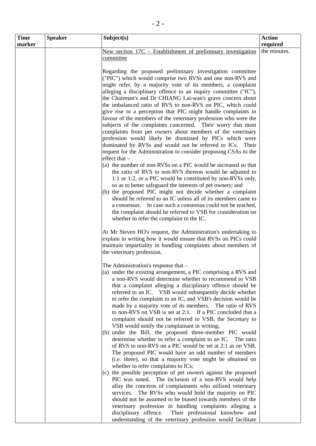| <b>Time</b> | <b>Speaker</b> | Subject(s)                                                                                                               | <b>Action</b> |
|-------------|----------------|--------------------------------------------------------------------------------------------------------------------------|---------------|
| marker      |                |                                                                                                                          | required      |
|             |                | New section $17C$ – Establishment of preliminary investigation                                                           | the minutes.  |
|             |                | committee                                                                                                                |               |
|             |                | Regarding the proposed preliminary investigation committee                                                               |               |
|             |                | ("PIC") which would comprise two RVSs and one non-RVS and                                                                |               |
|             |                | might refer, by a majority vote of its members, a complaint                                                              |               |
|             |                | alleging a disciplinary offence to an inquiry committee ("IC"),                                                          |               |
|             |                | the Chairman's and Dr CHIANG Lai-wan's grave concern about                                                               |               |
|             |                | the imbalanced ratio of RVS to non-RVS on PIC, which could                                                               |               |
|             |                | give rise to a perception that PIC might handle complaints in                                                            |               |
|             |                | favour of the members of the veterinary profession who were the                                                          |               |
|             |                | subjects of the complaints concerned. Their worry that most                                                              |               |
|             |                | complaints from pet owners about members of the veterinary                                                               |               |
|             |                | profession would likely be dismissed by PICs which were                                                                  |               |
|             |                | dominated by RVSs and would not be referred to ICs. Their                                                                |               |
|             |                | request for the Administration to consider proposing CSAs to the<br>effect that -                                        |               |
|             |                | (a) the number of non-RVSs on a PIC would be increased so that                                                           |               |
|             |                | the ratio of RVS to non-RVS thereon would be adjusted to                                                                 |               |
|             |                | 1:1 or 1:2, or a PIC would be constituted by non-RVSs only,                                                              |               |
|             |                | so as to better safeguard the interests of pet owners; and<br>(b) the proposed PIC might not decide whether a complaint  |               |
|             |                | should be referred to an IC unless all of its members came to                                                            |               |
|             |                | a consensus. In case such a consensus could not be reached,                                                              |               |
|             |                | the complaint should be referred to VSB for consideration on                                                             |               |
|             |                | whether to refer the complaint to the IC.                                                                                |               |
|             |                |                                                                                                                          |               |
|             |                | At Mr Steven HO's request, the Administration's undertaking to                                                           |               |
|             |                | explain in writing how it would ensure that RVSs on PICs could                                                           |               |
|             |                | maintain impartiality in handling complaints about members of<br>the veterinary profession.                              |               |
|             |                |                                                                                                                          |               |
|             |                | The Administration's response that -                                                                                     |               |
|             |                | (a) under the existing arrangement, a PIC comprising a RVS and                                                           |               |
|             |                | a non-RVS would determine whether to recommend to VSB                                                                    |               |
|             |                | that a complaint alleging a disciplinary offence should be                                                               |               |
|             |                | referred to an IC. VSB would subsequently decide whether<br>to refer the complaint to an IC, and VSB's decision would be |               |
|             |                | made by a majority vote of its members. The ratio of RVS                                                                 |               |
|             |                | to non-RVS on VSB is set at 2:1. If a PIC concluded that a                                                               |               |
|             |                | complaint should not be referred to VSB, the Secretary to                                                                |               |
|             |                | VSB would notify the complainant in writing;                                                                             |               |
|             |                | (b) under the Bill, the proposed three-member PIC would                                                                  |               |
|             |                | determine whether to refer a complaint to an IC. The ratio                                                               |               |
|             |                | of RVS to non-RVS on a PIC would be set at 2:1 as on VSB.                                                                |               |
|             |                | The proposed PIC would have an odd number of members<br>(i.e. three), so that a majority vote might be obtained on       |               |
|             |                | whether to refer complaints to ICs;                                                                                      |               |
|             |                | (c) the possible perception of pet owners against the proposed                                                           |               |
|             |                | PIC was noted. The inclusion of a non-RVS would help                                                                     |               |
|             |                | allay the concerns of complainants who utilized veterinary                                                               |               |
|             |                | services. The RVSs who would hold the majority on PIC                                                                    |               |
|             |                | should not be assumed to be biased towards members of the                                                                |               |
|             |                | veterinary profession in handling complaints alleging a                                                                  |               |
|             |                | disciplinary offence.<br>Their professional knowhow and<br>understanding of the veterinary profession would facilitate   |               |
|             |                |                                                                                                                          |               |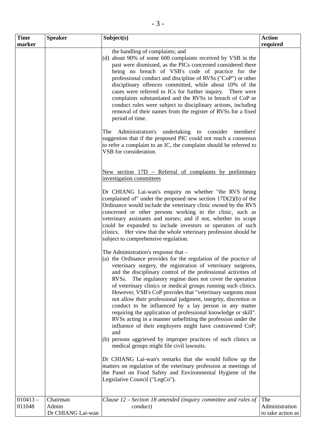| <b>Time</b> | <b>Speaker</b>    | Subject(s)                                                                                                                                                                                                                                                                                                                                                                                                                                                                                                                                                                                                                                                                                                                                                                             | <b>Action</b>     |
|-------------|-------------------|----------------------------------------------------------------------------------------------------------------------------------------------------------------------------------------------------------------------------------------------------------------------------------------------------------------------------------------------------------------------------------------------------------------------------------------------------------------------------------------------------------------------------------------------------------------------------------------------------------------------------------------------------------------------------------------------------------------------------------------------------------------------------------------|-------------------|
| marker      |                   |                                                                                                                                                                                                                                                                                                                                                                                                                                                                                                                                                                                                                                                                                                                                                                                        | required          |
|             |                   | the handling of complaints; and<br>(d) about 90% of some 600 complaints received by VSB in the<br>past were dismissed, as the PICs concerned considered there<br>being no breach of VSB's code of practice for the<br>professional conduct and discipline of RVSs ("CoP") or other<br>disciplinary offences committed, while about 10% of the<br>cases were referred to ICs for further inquiry. There were<br>complaints substantiated and the RVSs in breach of CoP or<br>conduct rules were subject to disciplinary actions, including<br>removal of their names from the register of RVSs for a fixed<br>period of time.<br>Administration's undertaking to consider members'<br>The<br>suggestion that if the proposed PIC could not reach a consensus                            |                   |
|             |                   | to refer a complaint to an IC, the complaint should be referred to<br>VSB for consideration.<br>New section 17D - Referral of complaints by preliminary<br>investigation committees                                                                                                                                                                                                                                                                                                                                                                                                                                                                                                                                                                                                    |                   |
|             |                   | Dr CHIANG Lai-wan's enquiry on whether "the RVS being<br>complained of" under the proposed new section $17D(2)(b)$ of the<br>Ordinance would include the veterinary clinic owned by the RVS<br>concerned or other persons working in the clinic, such as<br>veterinary assistants and nurses; and if not, whether its scope<br>could be expanded to include investors or operators of such<br>clinics. Her view that the whole veterinary profession should be<br>subject to comprehensive regulation.                                                                                                                                                                                                                                                                                 |                   |
|             |                   | The Administration's response that -<br>(a) the Ordinance provides for the regulation of the practice of<br>veterinary surgery, the registration of veterinary surgeons,<br>and the disciplinary control of the professional activities of<br>The regulatory regime does not cover the operation<br>RVS <sub>s.</sub><br>of veterinary clinics or medical groups running such clinics.<br>However, VSB's CoP provides that "veterinary surgeons must<br>not allow their professional judgment, integrity, discretion or<br>conduct to be influenced by a lay person in any matter<br>requiring the application of professional knowledge or skill".<br>RVSs acting in a manner unbefitting the profession under the<br>influence of their employers might have contravened CoP;<br>and |                   |
|             |                   | (b) persons aggrieved by improper practices of such clinics or<br>medical groups might file civil lawsuits.<br>Dr CHIANG Lai-wan's remarks that she would follow up the<br>matters on regulation of the veterinary profession at meetings of<br>the Panel on Food Safety and Environmental Hygiene of the<br>Legislative Council ("LegCo").                                                                                                                                                                                                                                                                                                                                                                                                                                            |                   |
| $010413 -$  | Chairman          | Clause $12$ – Section 18 amended (inquiry committee and rules of                                                                                                                                                                                                                                                                                                                                                                                                                                                                                                                                                                                                                                                                                                                       | The               |
| 011048      | Admin             | conduct)                                                                                                                                                                                                                                                                                                                                                                                                                                                                                                                                                                                                                                                                                                                                                                               | Administration    |
|             | Dr CHIANG Lai-wan |                                                                                                                                                                                                                                                                                                                                                                                                                                                                                                                                                                                                                                                                                                                                                                                        | to take action as |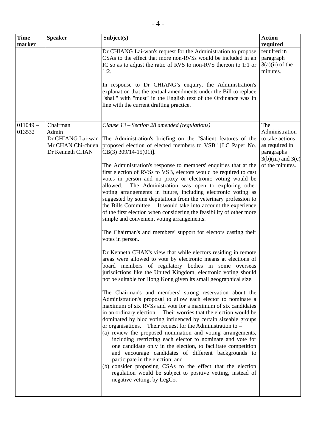| <b>Time</b>          | <b>Speaker</b>                                            | Subject(s)                                                                                                                                                                                                                                                                                                                                                                                                                                                                                                                                                                                                                                                                                                                                                                                                                                                                                                                                                                                                                                                                                                                                                                                                                                                                                                                                                                                                                                                                                                                                                                                                                                                                                                                                                                                                                                                                                                                                                                                                                                                                                                   | <b>Action</b>                                                                                                         |
|----------------------|-----------------------------------------------------------|--------------------------------------------------------------------------------------------------------------------------------------------------------------------------------------------------------------------------------------------------------------------------------------------------------------------------------------------------------------------------------------------------------------------------------------------------------------------------------------------------------------------------------------------------------------------------------------------------------------------------------------------------------------------------------------------------------------------------------------------------------------------------------------------------------------------------------------------------------------------------------------------------------------------------------------------------------------------------------------------------------------------------------------------------------------------------------------------------------------------------------------------------------------------------------------------------------------------------------------------------------------------------------------------------------------------------------------------------------------------------------------------------------------------------------------------------------------------------------------------------------------------------------------------------------------------------------------------------------------------------------------------------------------------------------------------------------------------------------------------------------------------------------------------------------------------------------------------------------------------------------------------------------------------------------------------------------------------------------------------------------------------------------------------------------------------------------------------------------------|-----------------------------------------------------------------------------------------------------------------------|
| marker               |                                                           | Dr CHIANG Lai-wan's request for the Administration to propose<br>CSAs to the effect that more non-RVSs would be included in an<br>IC so as to adjust the ratio of RVS to non-RVS thereon to 1:1 or<br>1:2.<br>In response to Dr CHIANG's enquiry, the Administration's<br>explanation that the textual amendments under the Bill to replace<br>"shall" with "must" in the English text of the Ordinance was in<br>line with the current drafting practice.                                                                                                                                                                                                                                                                                                                                                                                                                                                                                                                                                                                                                                                                                                                                                                                                                                                                                                                                                                                                                                                                                                                                                                                                                                                                                                                                                                                                                                                                                                                                                                                                                                                   | required<br>required in<br>paragraph<br>$3(a)(ii)$ of the<br>minutes.                                                 |
| $011049 -$<br>013532 | Chairman<br>Admin<br>Mr CHAN Chi-chuen<br>Dr Kenneth CHAN | Clause 13 – Section 28 amended (regulations)<br>Dr CHIANG Lai-wan The Administration's briefing on the "Salient features of the<br>proposed election of elected members to VSB" [LC Paper No.<br>$CB(3)$ 309/14-15(01)].<br>The Administration's response to members' enquiries that at the<br>first election of RVSs to VSB, electors would be required to cast<br>votes in person and no proxy or electronic voting would be<br>The Administration was open to exploring other<br>allowed.<br>voting arrangements in future, including electronic voting as<br>suggested by some deputations from the veterinary profession to<br>the Bills Committee. It would take into account the experience<br>of the first election when considering the feasibility of other more<br>simple and convenient voting arrangements.<br>The Chairman's and members' support for electors casting their<br>votes in person.<br>Dr Kenneth CHAN's view that while electors residing in remote<br>areas were allowed to vote by electronic means at elections of<br>board members of regulatory bodies in some overseas<br>jurisdictions like the United Kingdom, electronic voting should<br>not be suitable for Hong Kong given its small geographical size.<br>The Chairman's and members' strong reservation about the<br>Administration's proposal to allow each elector to nominate a<br>maximum of six RVSs and vote for a maximum of six candidates<br>in an ordinary election. Their worries that the election would be<br>dominated by bloc voting influenced by certain sizeable groups<br>or organisations. Their request for the Administration to $-$<br>(a) review the proposed nomination and voting arrangements,<br>including restricting each elector to nominate and vote for<br>one candidate only in the election, to facilitate competition<br>and encourage candidates of different backgrounds to<br>participate in the election; and<br>(b) consider proposing CSAs to the effect that the election<br>regulation would be subject to positive vetting, instead of<br>negative vetting, by LegCo. | The<br>Administration<br>to take actions<br>as required in<br>paragraphs<br>$3(b)(iii)$ and $3(c)$<br>of the minutes. |